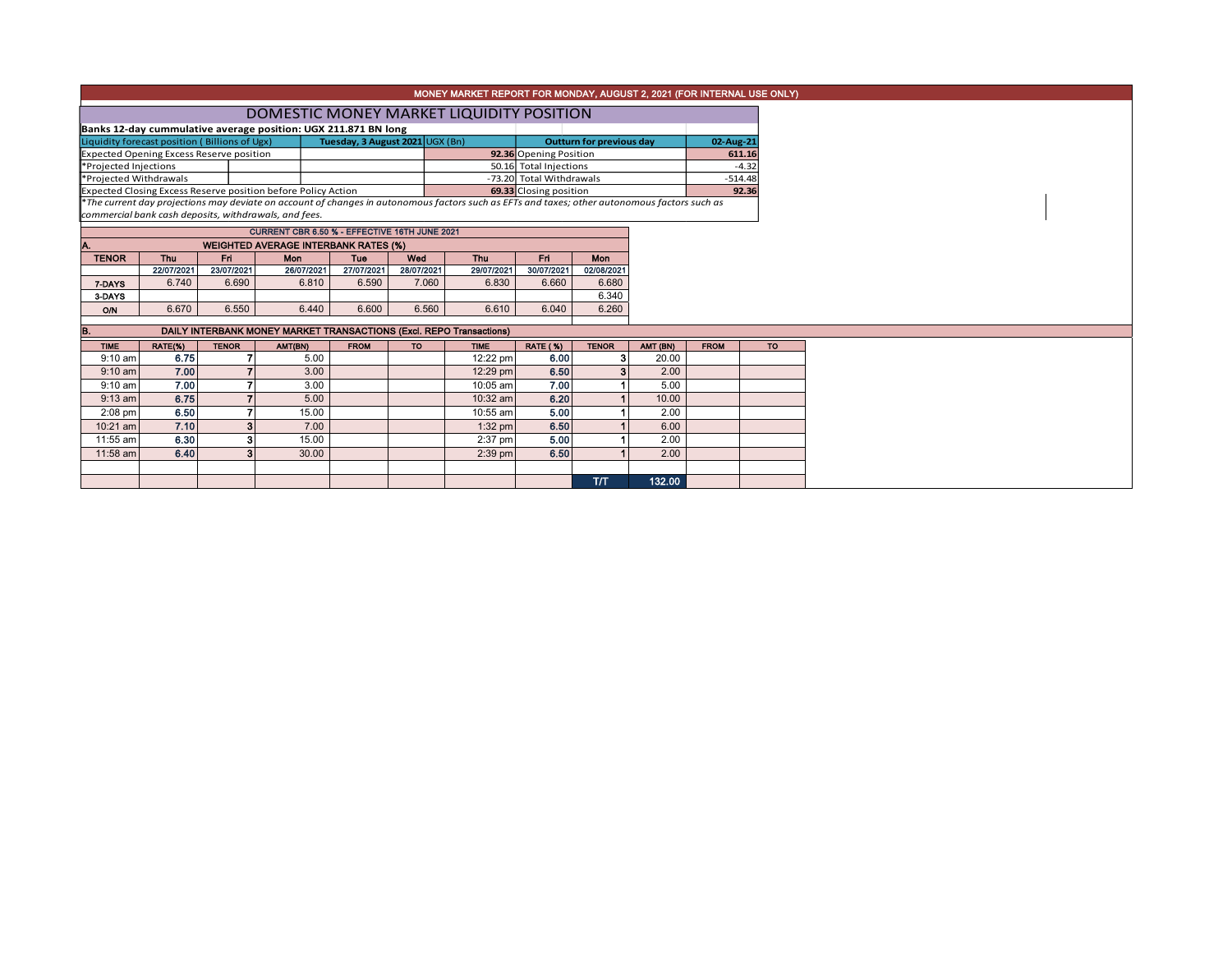|                                                                                                                                                                                                                                          |                                                                |              |                                                       |             |            | MONEY MARKET REPORT FOR MONDAY, AUGUST 2, 2021 (FOR INTERNAL USE ONLY) |                          |              |          |             |                    |  |  |  |
|------------------------------------------------------------------------------------------------------------------------------------------------------------------------------------------------------------------------------------------|----------------------------------------------------------------|--------------|-------------------------------------------------------|-------------|------------|------------------------------------------------------------------------|--------------------------|--------------|----------|-------------|--------------------|--|--|--|
|                                                                                                                                                                                                                                          | DOMESTIC MONEY MARKET LIQUIDITY POSITION                       |              |                                                       |             |            |                                                                        |                          |              |          |             |                    |  |  |  |
|                                                                                                                                                                                                                                          | Banks 12-day cummulative average position: UGX 211.871 BN long |              |                                                       |             |            |                                                                        |                          |              |          |             |                    |  |  |  |
| Tuesday, 3 August 2021 UGX (Bn)<br>Liquidity forecast position (Billions of Ugx)<br><b>Outturn for previous day</b>                                                                                                                      |                                                                |              |                                                       |             |            |                                                                        |                          |              |          |             | 02-Aug-21          |  |  |  |
| <b>Expected Opening Excess Reserve position</b><br>92.36 Opening Position<br>50.16 Total Injections                                                                                                                                      |                                                                |              |                                                       |             |            |                                                                        |                          |              |          |             | 611.16             |  |  |  |
| *Projected Injections                                                                                                                                                                                                                    |                                                                |              |                                                       |             |            |                                                                        |                          |              |          |             | $-4.32$            |  |  |  |
| *Projected Withdrawals                                                                                                                                                                                                                   |                                                                |              |                                                       |             |            |                                                                        | -73.20 Total Withdrawals |              |          |             | $-514.48$<br>92.36 |  |  |  |
| Expected Closing Excess Reserve position before Policy Action<br>69.33 Closing position<br>*The current day projections may deviate on account of changes in autonomous factors such as EFTs and taxes; other autonomous factors such as |                                                                |              |                                                       |             |            |                                                                        |                          |              |          |             |                    |  |  |  |
|                                                                                                                                                                                                                                          |                                                                |              | commercial bank cash deposits, withdrawals, and fees. |             |            |                                                                        |                          |              |          |             |                    |  |  |  |
|                                                                                                                                                                                                                                          | CURRENT CBR 6.50 % - EFFECTIVE 16TH JUNE 2021                  |              |                                                       |             |            |                                                                        |                          |              |          |             |                    |  |  |  |
|                                                                                                                                                                                                                                          |                                                                |              | <b>WEIGHTED AVERAGE INTERBANK RATES (%)</b>           |             |            |                                                                        |                          |              |          |             |                    |  |  |  |
| <b>TENOR</b>                                                                                                                                                                                                                             | <b>Thu</b>                                                     | Fri          | Mon                                                   | Tue         | Wed        | Thu                                                                    | Fri                      | Mon          |          |             |                    |  |  |  |
|                                                                                                                                                                                                                                          | 22/07/2021                                                     | 23/07/2021   | 26/07/2021                                            | 27/07/2021  | 28/07/2021 | 29/07/2021                                                             | 30/07/2021               | 02/08/2021   |          |             |                    |  |  |  |
| 7-DAYS                                                                                                                                                                                                                                   | 6.740                                                          | 6.690        | 6.810                                                 | 6.590       | 7.060      | 6.830                                                                  | 6.660                    | 6.680        |          |             |                    |  |  |  |
| 3-DAYS                                                                                                                                                                                                                                   |                                                                |              |                                                       |             |            |                                                                        |                          | 6.340        |          |             |                    |  |  |  |
| <b>O/N</b>                                                                                                                                                                                                                               | 6.670                                                          | 6.550        | 6.440                                                 | 6.600       | 6.560      | 6.610                                                                  | 6.040                    | 6.260        |          |             |                    |  |  |  |
| DAILY INTERBANK MONEY MARKET TRANSACTIONS (Excl. REPO Transactions)<br>в.                                                                                                                                                                |                                                                |              |                                                       |             |            |                                                                        |                          |              |          |             |                    |  |  |  |
| <b>TIME</b>                                                                                                                                                                                                                              | RATE(%)                                                        | <b>TENOR</b> | AMT(BN)                                               | <b>FROM</b> | <b>TO</b>  | <b>TIME</b>                                                            | <b>RATE (%)</b>          | <b>TENOR</b> | AMT (BN) | <b>FROM</b> | <b>TO</b>          |  |  |  |
| $9:10$ am                                                                                                                                                                                                                                | 6.75                                                           |              | 5.00                                                  |             |            | 12:22 pm                                                               | 6.00                     | 3            | 20.00    |             |                    |  |  |  |
| $9:10 \text{ am}$                                                                                                                                                                                                                        | 7.00                                                           |              | 3.00                                                  |             |            | 12:29 pm                                                               | 6.50                     | 3            | 2.00     |             |                    |  |  |  |
| $9:10$ am                                                                                                                                                                                                                                | 7.00                                                           |              | 3.00                                                  |             |            | 10:05 am                                                               | 7.00                     |              | 5.00     |             |                    |  |  |  |
| $9:13$ am                                                                                                                                                                                                                                | 6.75                                                           |              | 5.00                                                  |             |            | 10:32 am                                                               | 6.20                     |              | 10.00    |             |                    |  |  |  |
| $2:08$ pm                                                                                                                                                                                                                                | 6.50                                                           |              | 15.00                                                 |             |            | 10:55 am                                                               | 5.00                     |              | 2.00     |             |                    |  |  |  |
| 10:21 am                                                                                                                                                                                                                                 | 7.10                                                           | 3            | 7.00                                                  |             |            | $1:32$ pm                                                              | 6.50                     |              | 6.00     |             |                    |  |  |  |
| 11:55 am                                                                                                                                                                                                                                 | 6.30                                                           | 3            | 15.00                                                 |             |            | $2:37$ pm                                                              | 5.00                     |              | 2.00     |             |                    |  |  |  |
| 11:58 am                                                                                                                                                                                                                                 | 6.40                                                           | 3            | 30.00                                                 |             |            | $2:39$ pm                                                              | 6.50                     |              | 2.00     |             |                    |  |  |  |
|                                                                                                                                                                                                                                          |                                                                |              |                                                       |             |            |                                                                        |                          |              |          |             |                    |  |  |  |
|                                                                                                                                                                                                                                          |                                                                |              |                                                       |             |            |                                                                        |                          | <b>T/T</b>   | 132.00   |             |                    |  |  |  |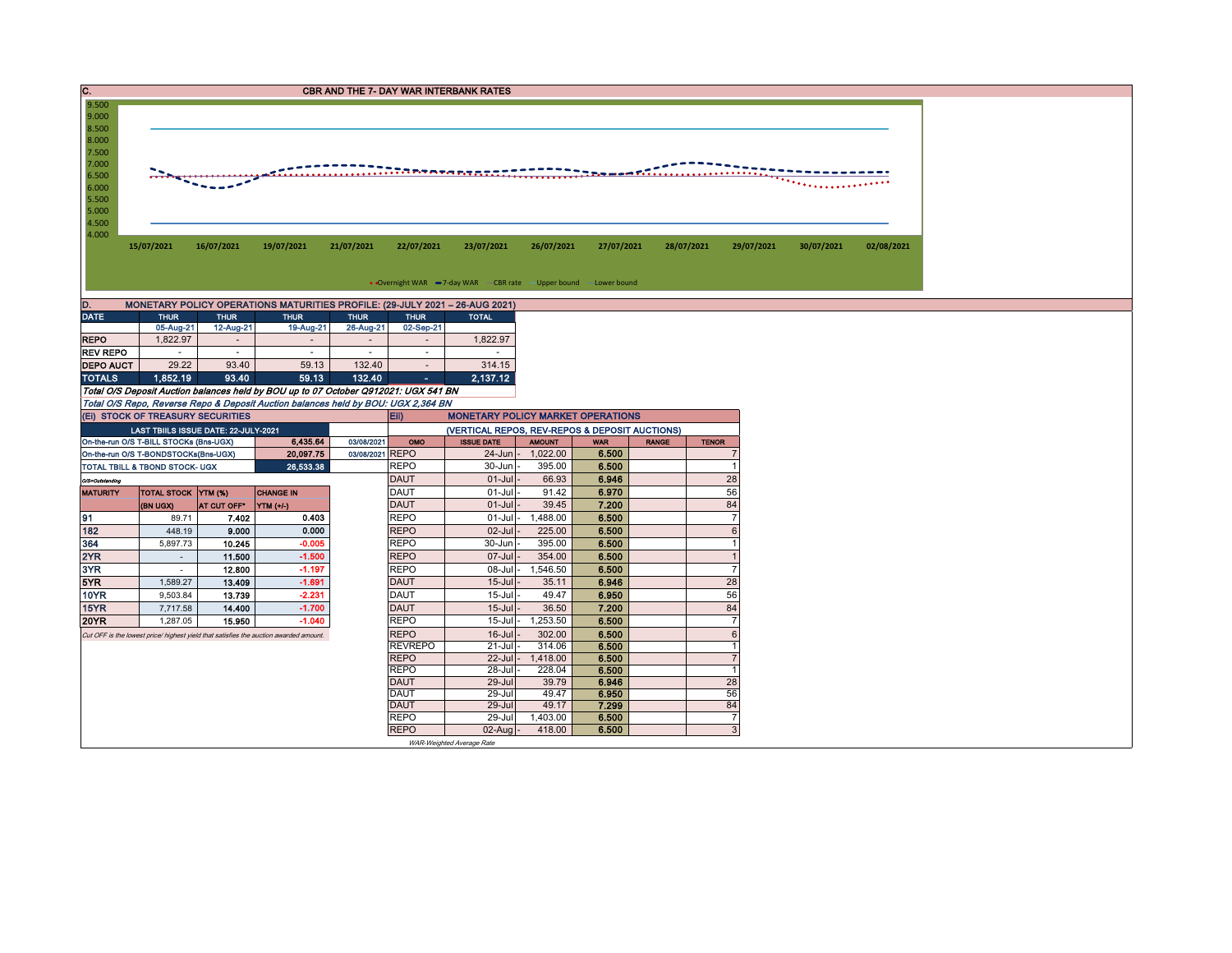| IC.              | <b>CBR AND THE 7- DAY WAR INTERBANK RATES</b> |                         |                                                                                       |                                                                                                                                                                          |                                                                  |                    |                |              |                                |            |            |  |  |  |
|------------------|-----------------------------------------------|-------------------------|---------------------------------------------------------------------------------------|--------------------------------------------------------------------------------------------------------------------------------------------------------------------------|------------------------------------------------------------------|--------------------|----------------|--------------|--------------------------------|------------|------------|--|--|--|
| 9.500<br>9.000   |                                               |                         |                                                                                       |                                                                                                                                                                          |                                                                  |                    |                |              |                                |            |            |  |  |  |
| 8.500            |                                               |                         |                                                                                       |                                                                                                                                                                          |                                                                  |                    |                |              |                                |            |            |  |  |  |
| 8.000            |                                               |                         |                                                                                       |                                                                                                                                                                          |                                                                  |                    |                |              |                                |            |            |  |  |  |
| 7.500            |                                               |                         |                                                                                       |                                                                                                                                                                          |                                                                  |                    |                |              |                                |            |            |  |  |  |
| 7.000            |                                               |                         |                                                                                       | . <del>.</del> .                                                                                                                                                         |                                                                  |                    |                |              |                                |            |            |  |  |  |
| 6.500<br>6.000   |                                               |                         |                                                                                       |                                                                                                                                                                          |                                                                  |                    |                |              |                                |            |            |  |  |  |
| 5.500            |                                               |                         |                                                                                       |                                                                                                                                                                          |                                                                  |                    |                |              |                                |            |            |  |  |  |
| 5.000            |                                               |                         |                                                                                       |                                                                                                                                                                          |                                                                  |                    |                |              |                                |            |            |  |  |  |
| 4.500            |                                               |                         |                                                                                       |                                                                                                                                                                          |                                                                  |                    |                |              |                                |            |            |  |  |  |
| 4.000            |                                               |                         |                                                                                       |                                                                                                                                                                          |                                                                  |                    |                |              |                                |            |            |  |  |  |
|                  | 15/07/2021                                    | 16/07/2021              | 19/07/2021                                                                            | 21/07/2021<br>22/07/2021                                                                                                                                                 | 23/07/2021                                                       | 26/07/2021         | 27/07/2021     | 28/07/2021   | 29/07/2021                     | 30/07/2021 | 02/08/2021 |  |  |  |
|                  |                                               |                         |                                                                                       |                                                                                                                                                                          |                                                                  |                    |                |              |                                |            |            |  |  |  |
|                  |                                               |                         |                                                                                       |                                                                                                                                                                          | • Overnight WAR -7-day WAR - CBR rate - Upper bound -Lower bound |                    |                |              |                                |            |            |  |  |  |
| D.               |                                               |                         |                                                                                       | MONETARY POLICY OPERATIONS MATURITIES PROFILE: (29-JULY 2021 - 26-AUG 2021)                                                                                              |                                                                  |                    |                |              |                                |            |            |  |  |  |
| <b>DATE</b>      | <b>THUR</b>                                   | <b>THUR</b>             | <b>THUR</b>                                                                           | <b>THUR</b><br><b>THUR</b>                                                                                                                                               | <b>TOTAL</b>                                                     |                    |                |              |                                |            |            |  |  |  |
|                  | 05-Aug-21                                     | 12-Aug-21               | 19-Aug-21                                                                             | 26-Aug-21<br>02-Sep-21                                                                                                                                                   |                                                                  |                    |                |              |                                |            |            |  |  |  |
| <b>REPO</b>      | 1.822.97                                      | $\sim$                  | $\sim$                                                                                | $\overline{\phantom{a}}$<br>$\overline{\phantom{a}}$                                                                                                                     | 1,822.97                                                         |                    |                |              |                                |            |            |  |  |  |
| <b>REV REPO</b>  | $\sim$                                        | $\sim$                  | $\sim$                                                                                | $\sim$<br>$\sim$                                                                                                                                                         | $\sim$                                                           |                    |                |              |                                |            |            |  |  |  |
| <b>DEPO AUCT</b> | 29.22                                         | 93.40                   | 59.13                                                                                 | 132.40<br>$\sim$                                                                                                                                                         | 314.15                                                           |                    |                |              |                                |            |            |  |  |  |
| <b>TOTALS</b>    | 1.852.19                                      | 93.40                   | 59.13                                                                                 | 132.40<br>A.                                                                                                                                                             | 2,137.12                                                         |                    |                |              |                                |            |            |  |  |  |
|                  |                                               |                         |                                                                                       | Total O/S Deposit Auction balances held by BOU up to 07 October Q912021: UGX 541 BN<br>Total O/S Repo, Reverse Repo & Deposit Auction balances held by BOU: UGX 2,364 BN |                                                                  |                    |                |              |                                |            |            |  |  |  |
|                  | (EI) STOCK OF TREASURY SECURITIES             |                         |                                                                                       | Eii)                                                                                                                                                                     | <b>MONETARY POLICY MARKET OPERATIONS</b>                         |                    |                |              |                                |            |            |  |  |  |
|                  | LAST TBIILS ISSUE DATE: 22-JULY-2021          |                         |                                                                                       |                                                                                                                                                                          | (VERTICAL REPOS, REV-REPOS & DEPOSIT AUCTIONS)                   |                    |                |              |                                |            |            |  |  |  |
|                  | On-the-run O/S T-BILL STOCKs (Bns-UGX)        |                         | 6,435.64                                                                              | 03/08/2021<br>OMO                                                                                                                                                        | <b>ISSUE DATE</b>                                                | <b>AMOUNT</b>      | <b>WAR</b>     | <b>RANGE</b> | <b>TENOR</b>                   |            |            |  |  |  |
|                  | On-the-run O/S T-BONDSTOCKs(Bns-UGX)          |                         | 20,097.75                                                                             | 03/08/2021 REPO                                                                                                                                                          | 24-Jun                                                           | 1,022.00           | 6.500          |              | $\overline{7}$                 |            |            |  |  |  |
|                  | TOTAL TBILL & TBOND STOCK- UGX                |                         | 26,533.38                                                                             | <b>REPO</b>                                                                                                                                                              | 30-Jun                                                           | 395.00             | 6.500          |              | $\mathbf{1}$                   |            |            |  |  |  |
| O/S=Outstanding  |                                               |                         |                                                                                       | <b>DAUT</b>                                                                                                                                                              | $01-Jul$                                                         | 66.93              | 6.946          |              | 28                             |            |            |  |  |  |
| <b>MATURITY</b>  | <b>TOTAL STOCK YTM (%)</b>                    |                         | <b>CHANGE IN</b>                                                                      | <b>DAUT</b><br><b>DAUT</b>                                                                                                                                               | $01-Jul$                                                         | 91.42              | 6.970          |              | 56                             |            |            |  |  |  |
| 91               | (BN UGX)                                      | AT CUT OFF <sup>®</sup> | <b>YTM</b> (+/-)<br>0.403                                                             | <b>REPO</b>                                                                                                                                                              | $01 -$ Jul<br>$01-Jul$                                           | 39.45<br>1,488.00  | 7.200<br>6.500 |              | 84<br>$\overline{7}$           |            |            |  |  |  |
| 182              | 89.71<br>448.19                               | 7.402<br>9.000          | 0.000                                                                                 | <b>REPO</b>                                                                                                                                                              | $02$ -Jul                                                        | 225.00             | 6.500          |              | $6\phantom{1}$                 |            |            |  |  |  |
| 364              | 5,897.73                                      | 10.245                  | $-0.005$                                                                              | <b>REPO</b>                                                                                                                                                              | 30-Jun                                                           | 395.00             | 6.500          |              | $\mathbf{1}$                   |            |            |  |  |  |
| 2YR              | $\sim$                                        | 11.500                  | $-1.500$                                                                              | <b>REPO</b>                                                                                                                                                              | 07-Jul                                                           | 354.00             | 6.500          |              | $\overline{1}$                 |            |            |  |  |  |
| 3YR              | $\sim$                                        | 12.800                  | $-1.197$                                                                              | <b>REPO</b>                                                                                                                                                              | 08-Jul                                                           | 1,546.50           | 6.500          |              | $\overline{7}$                 |            |            |  |  |  |
| 5YR              | 1,589.27                                      | 13.409                  | $-1.691$                                                                              | <b>DAUT</b>                                                                                                                                                              | $15 -$ Jul                                                       | 35.11              | 6.946          |              | 28                             |            |            |  |  |  |
| <b>10YR</b>      | 9,503.84                                      | 13.739                  | $-2.231$                                                                              | <b>DAUT</b>                                                                                                                                                              | $15 -$ Jul                                                       | 49.47              | 6.950          |              | 56                             |            |            |  |  |  |
| 15YR             | 7,717.58                                      | 14.400                  | $-1.700$                                                                              | <b>DAUT</b>                                                                                                                                                              | $15$ -Jul                                                        | 36.50              | 7.200          |              | 84                             |            |            |  |  |  |
| <b>20YR</b>      | 1,287.05                                      | 15.950                  | $-1.040$                                                                              | <b>REPO</b>                                                                                                                                                              | $15 -$ Jul                                                       | 1,253.50           | 6.500          |              | $\overline{7}$                 |            |            |  |  |  |
|                  |                                               |                         | Cut OFF is the lowest price/ highest yield that satisfies the auction awarded amount. | <b>REPO</b>                                                                                                                                                              | $16$ -Jul                                                        | 302.00             | 6.500          |              | $\,6\,$                        |            |            |  |  |  |
|                  |                                               |                         |                                                                                       | <b>REVREPO</b><br><b>REPO</b>                                                                                                                                            | $21 -$ Jul<br>$22$ -Jul                                          | 314.06<br>1,418.00 | 6.500          |              | $\mathbf{1}$<br>$\overline{7}$ |            |            |  |  |  |
|                  |                                               |                         |                                                                                       | <b>REPO</b>                                                                                                                                                              | 28-Jul                                                           | 228.04             | 6.500<br>6.500 |              | $\mathbf{1}$                   |            |            |  |  |  |
|                  |                                               |                         |                                                                                       | <b>DAUT</b>                                                                                                                                                              | 29-Jul                                                           | 39.79              | 6.946          |              | 28                             |            |            |  |  |  |
|                  |                                               |                         |                                                                                       | <b>DAUT</b>                                                                                                                                                              | 29-Jul                                                           | 49.47              | 6.950          |              | 56                             |            |            |  |  |  |
|                  |                                               |                         |                                                                                       | <b>DAUT</b>                                                                                                                                                              | $29 -$ Jul                                                       | 49.17              | 7.299          |              | 84                             |            |            |  |  |  |
|                  |                                               |                         |                                                                                       | <b>REPO</b>                                                                                                                                                              | 29-Jul                                                           | 1,403.00           | 6.500          |              | $\overline{7}$                 |            |            |  |  |  |
|                  |                                               |                         |                                                                                       | <b>REPO</b>                                                                                                                                                              | 02-Aug                                                           | 418.00             | 6.500          |              | $\mathbf{3}$                   |            |            |  |  |  |
|                  |                                               |                         |                                                                                       |                                                                                                                                                                          | WAR-Weighted Average Rate                                        |                    |                |              |                                |            |            |  |  |  |